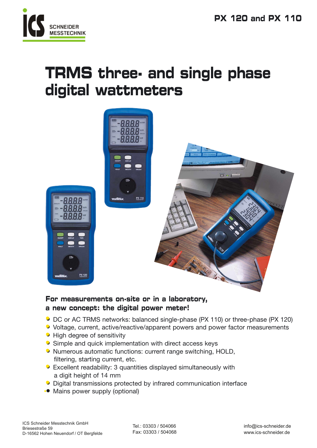

# **TRMS three- and single phase digital wattmeters**



**For measurements on-site or in a laboratory, a new concept: the digital power meter!**

- **• •** DC or AC TRMS networks: balanced single-phase (PX 110) or three-phase (PX 120)
- **• •** Voltage, current, active/reactive/apparent powers and power factor measurements
- **• •** High degree of sensitivity
- **• •** Simple and quick implementation with direct access keys
- **• •** Numerous automatic functions: current range switching, HOLD, filtering, starting current, etc.
- **• •** Excellent readability: 3 quantities displayed simultaneously with a digit height of 14 mm
- **• •** Digital transmissions protected by infrared communication interface
- **• •** Mains power supply (optional)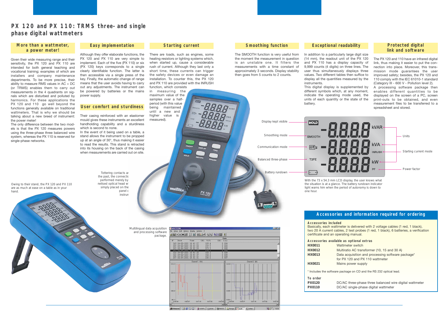Given their wide measuring range and their sensitivity, the PX 120 and PX 110 are intended for both general teaching and vocational training; examples of which are installers and company maintenance departments. To be more precise, their ability to measure RMS values in AC + DC (or TRMS) enables them to carry out measurements in the 4 quadrants on signals which are disturbed and polluted by harmonics. For these applications the PX 120 and 110 go well beyond the functions generally available on traditional wattmeters. That is why we should be talking about a new breed of instrument: the power meter!

The only difference between the two models is that the PX 120 measures powers using the three-phase three balanced wire system, whereas the PX 110 is reserved for single-phase networks.

**Smoothing function**

A processing software package then enables different quantities to be displayed on the screen of a PC, screen print-outs to be obtained, and even measurement files to be transferred to a spreadsheet and stored.

The SMOOTH function is very useful from the moment the measurement in question is an unstable one. It filters the measurements with a time constant of approximately 3 seconds. Display stability then goes from 5 counts to 2 counts.

In the event of it being used on a table, a stand allows the instrument to be propped up at an angle of 30°, thus making it easier to read the results. This stand is retracted into its housing on the back of the casing when measurements are carried out on site.

### **Exceptional readability**

In addition to a particularly large digit size (14 mm), the readout unit of the PX 120 and PX 110 has a display capacity of 9,999 counts (4 digits) on three lines. The user thus simultaneously displays three values. Two different tables then suffice to display all the quantities measured by the instruments.

This digital display is supplemented by different symbols which, at any moment, indicate the operating mode used, the units of each quantity or the state of the battery.

### **Protected digital link and software**

The PX 120 and 110 have an infrared digital link, thus making it easier to put the connection into place. Moreover, this transmission mode guarantees the user improved safety; besides, the PX 120 and 110 comply with the IEC 61010-1 standard (Category III - 600 V - Pollution level 2).

- **Accessories available as optional extras**
	- Wattmeter switch
	- Multiratio AC transformer (10, 15 and 30 A)
	- Data acquisition and processing software package<sup>\*</sup>
	- for PX 120 and PX 110 wattmeter
	- **Mains power supply**

e package on CD and the RS 232 optical lead.

Their casing reinforced with an elastomer mould gives these instruments an excellent handholding capability and a sturdiness which is second to none.

### **Easy implementation**

Although they offer elaborate functions, the PX 120 and PX 110 are very simple to implement. Each of the five (PX 110) or six (PX 120) keys corresponds to a single clearly identifiable function. The latter is then accessible via a single press of the key. Finally, the automatic change of range means that the user avoids having to carry out any adjustments. The instrument can be powered by batteries or the mains power supply.

### **User comfort and sturdiness**

### **Starting current**

There are loads, such as engines, some heating resistors or lighting systems which, when started up, cause a considerable rush of current. Although they last only a short time, these currents can trigger the safety devices or even damage an installation. To counter this, the PX 120 and PX 110 are provided with the INRUSH function, which consists

in measuring the maximum value of the samples over a halfperiod (with this value being maintained until a new and higher value is measured).

melais

## **PX 120 and PX 110: TRMS three- and single phase digital wattmeters**

### **Accessories and information required for ordering**

**Accessories included** Basically, each wattmeter is delivered with 2 voltage cables (1 red, 1 black), two 20 A current cables, 2 test probes (1 red, 1 black), 6 batteries, a verification certificate and an operating manual.

| HX0011 |                         |
|--------|-------------------------|
| HX0012 |                         |
| HX0013 | Г                       |
|        | f                       |
| HX0021 |                         |
|        | * Includes the software |

| To order |   |
|----------|---|
| PX0120   | Ð |
| PX0110   | Ð |

**PX0120** DC/AC three-phase three balanced wire digital wattmeter **PX0110** DC/AC single-phase digital wattmeter

### **More than a wattmeter, a power meter!**

*Multilingual data acquisition and processing software package.*



**PX 120** 





*Owing to their stand, the PX 120 and PX 110 are as much at ease on a table as in your hand.*

*the past, the connection performed merely by netised optical head w.* simply placed on the *panel c instrum* 

**Tottering contacts are** 

*With the 73 x 54.3 mm LCD display, the user knows what the situation is at a glance. The battery rundown indicator light warns him when the period of autonomy is down to one hour.*